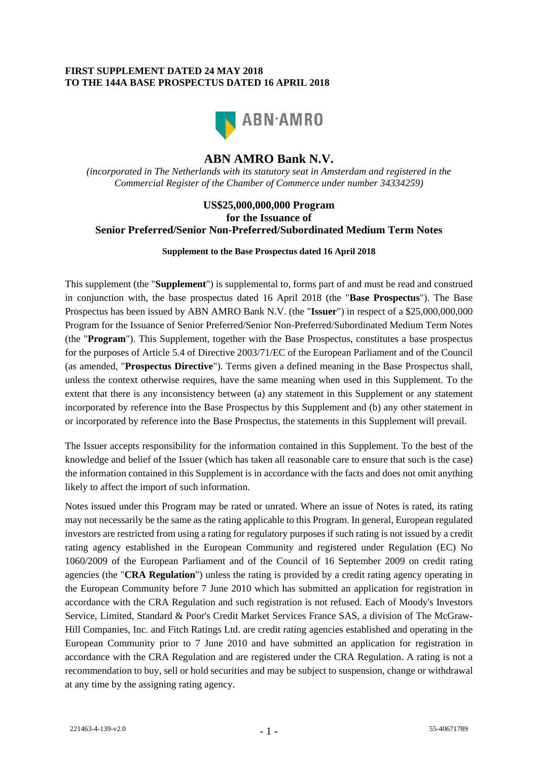#### **FIRST SUPPLEMENT DATED 24 MAY 2018 TO THE 144A BASE PROSPECTUS DATED 16 APRIL 2018**



## **ABN AMRO Bank N.V.**

*(incorporated in The Netherlands with its statutory seat in Amsterdam and registered in the Commercial Register of the Chamber of Commerce under number 34334259)*

### **US\$25,000,000,000 Program for the Issuance of Senior Preferred/Senior Non-Preferred/Subordinated Medium Term Notes**

#### **Supplement to the Base Prospectus dated 16 April 2018**

This supplement (the "**Supplement**") is supplemental to, forms part of and must be read and construed in conjunction with, the base prospectus dated 16 April 2018 (the "**Base Prospectus**"). The Base Prospectus has been issued by ABN AMRO Bank N.V. (the "**Issuer**") in respect of a \$25,000,000,000 Program for the Issuance of Senior Preferred/Senior Non-Preferred/Subordinated Medium Term Notes (the "**Program**"). This Supplement, together with the Base Prospectus, constitutes a base prospectus for the purposes of Article 5.4 of Directive 2003/71/EC of the European Parliament and of the Council (as amended, "**Prospectus Directive**"). Terms given a defined meaning in the Base Prospectus shall, unless the context otherwise requires, have the same meaning when used in this Supplement. To the extent that there is any inconsistency between (a) any statement in this Supplement or any statement incorporated by reference into the Base Prospectus by this Supplement and (b) any other statement in or incorporated by reference into the Base Prospectus, the statements in this Supplement will prevail.

The Issuer accepts responsibility for the information contained in this Supplement. To the best of the knowledge and belief of the Issuer (which has taken all reasonable care to ensure that such is the case) the information contained in this Supplement is in accordance with the facts and does not omit anything likely to affect the import of such information.

Notes issued under this Program may be rated or unrated. Where an issue of Notes is rated, its rating may not necessarily be the same as the rating applicable to this Program. In general, European regulated investors are restricted from using a rating for regulatory purposes if such rating is not issued by a credit rating agency established in the European Community and registered under Regulation (EC) No 1060/2009 of the European Parliament and of the Council of 16 September 2009 on credit rating agencies (the "**CRA Regulation**") unless the rating is provided by a credit rating agency operating in the European Community before 7 June 2010 which has submitted an application for registration in accordance with the CRA Regulation and such registration is not refused. Each of Moody's Investors Service, Limited, Standard & Poor's Credit Market Services France SAS, a division of The McGraw-Hill Companies, Inc. and Fitch Ratings Ltd. are credit rating agencies established and operating in the European Community prior to 7 June 2010 and have submitted an application for registration in accordance with the CRA Regulation and are registered under the CRA Regulation. A rating is not a recommendation to buy, sell or hold securities and may be subject to suspension, change or withdrawal at any time by the assigning rating agency.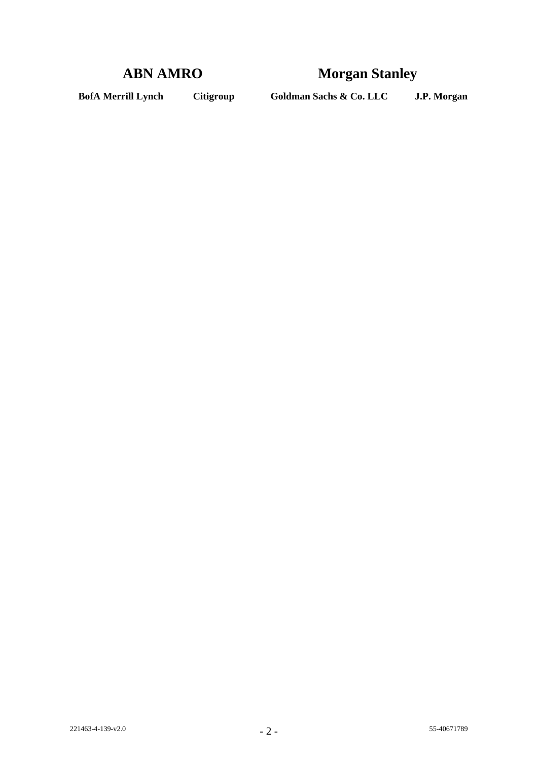# **ABN AMRO Morgan Stanley**

**BofA Merrill Lynch Citigroup Goldman Sachs & Co. LLC J.P. Morgan**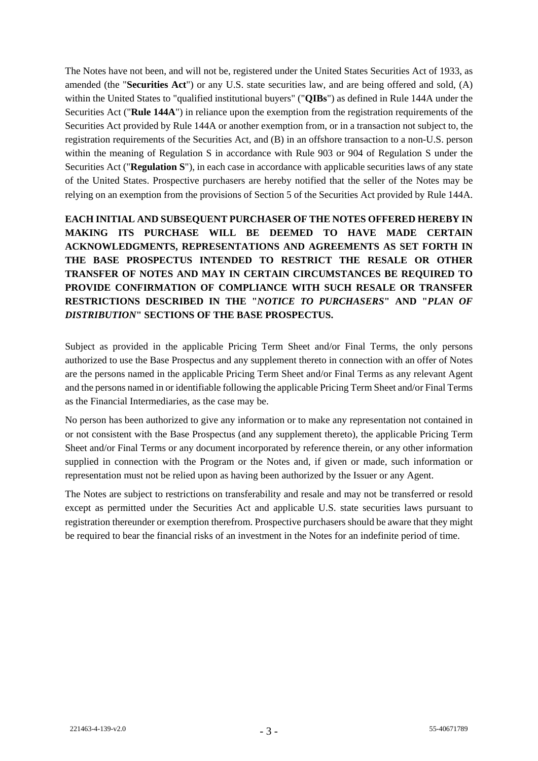The Notes have not been, and will not be, registered under the United States Securities Act of 1933, as amended (the "**Securities Act**") or any U.S. state securities law, and are being offered and sold, (A) within the United States to "qualified institutional buyers" ("**QIBs**") as defined in Rule 144A under the Securities Act ("**Rule 144A**") in reliance upon the exemption from the registration requirements of the Securities Act provided by Rule 144A or another exemption from, or in a transaction not subject to, the registration requirements of the Securities Act, and (B) in an offshore transaction to a non-U.S. person within the meaning of Regulation S in accordance with Rule 903 or 904 of Regulation S under the Securities Act ("**Regulation S**"), in each case in accordance with applicable securities laws of any state of the United States. Prospective purchasers are hereby notified that the seller of the Notes may be relying on an exemption from the provisions of Section 5 of the Securities Act provided by Rule 144A.

**EACH INITIAL AND SUBSEQUENT PURCHASER OF THE NOTES OFFERED HEREBY IN MAKING ITS PURCHASE WILL BE DEEMED TO HAVE MADE CERTAIN ACKNOWLEDGMENTS, REPRESENTATIONS AND AGREEMENTS AS SET FORTH IN THE BASE PROSPECTUS INTENDED TO RESTRICT THE RESALE OR OTHER TRANSFER OF NOTES AND MAY IN CERTAIN CIRCUMSTANCES BE REQUIRED TO PROVIDE CONFIRMATION OF COMPLIANCE WITH SUCH RESALE OR TRANSFER RESTRICTIONS DESCRIBED IN THE "***NOTICE TO PURCHASERS***" AND "***PLAN OF DISTRIBUTION***" SECTIONS OF THE BASE PROSPECTUS.**

Subject as provided in the applicable Pricing Term Sheet and/or Final Terms, the only persons authorized to use the Base Prospectus and any supplement thereto in connection with an offer of Notes are the persons named in the applicable Pricing Term Sheet and/or Final Terms as any relevant Agent and the persons named in or identifiable following the applicable Pricing Term Sheet and/or Final Terms as the Financial Intermediaries, as the case may be.

No person has been authorized to give any information or to make any representation not contained in or not consistent with the Base Prospectus (and any supplement thereto), the applicable Pricing Term Sheet and/or Final Terms or any document incorporated by reference therein, or any other information supplied in connection with the Program or the Notes and, if given or made, such information or representation must not be relied upon as having been authorized by the Issuer or any Agent.

The Notes are subject to restrictions on transferability and resale and may not be transferred or resold except as permitted under the Securities Act and applicable U.S. state securities laws pursuant to registration thereunder or exemption therefrom. Prospective purchasers should be aware that they might be required to bear the financial risks of an investment in the Notes for an indefinite period of time.